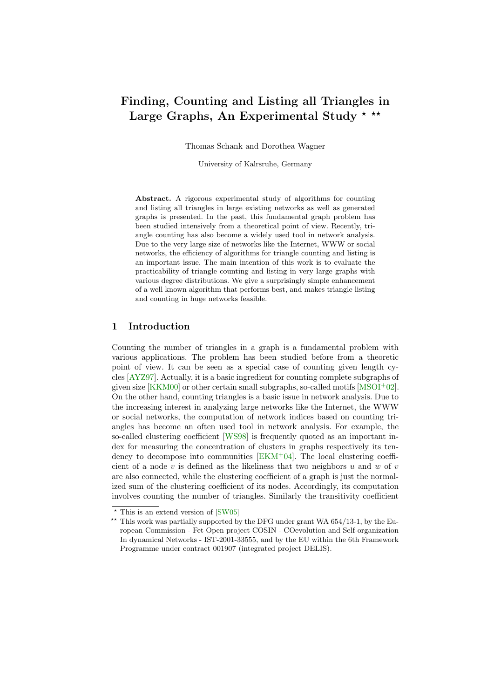# Finding, Counting and Listing all Triangles in Large Graphs, An Experimental Study  $*$  \*\*

Thomas Schank and Dorothea Wagner

University of Kalrsruhe, Germany

Abstract. A rigorous experimental study of algorithms for counting and listing all triangles in large existing networks as well as generated graphs is presented. In the past, this fundamental graph problem has been studied intensively from a theoretical point of view. Recently, triangle counting has also become a widely used tool in network analysis. Due to the very large size of networks like the Internet, WWW or social networks, the efficiency of algorithms for triangle counting and listing is an important issue. The main intention of this work is to evaluate the practicability of triangle counting and listing in very large graphs with various degree distributions. We give a surprisingly simple enhancement of a well known algorithm that performs best, and makes triangle listing and counting in huge networks feasible.

#### 1 Introduction

Counting the number of triangles in a graph is a fundamental problem with various applications. The problem has been studied before from a theoretic point of view. It can be seen as a special case of counting given length cycles [\[AYZ97\]](#page-10-0). Actually, it is a basic ingredient for counting complete subgraphs of given size [\[KKM00\]](#page-11-0) or other certain small subgraphs, so-called motifs [\[MSOI](#page-11-1)<sup>+</sup>02]. On the other hand, counting triangles is a basic issue in network analysis. Due to the increasing interest in analyzing large networks like the Internet, the WWW or social networks, the computation of network indices based on counting triangles has become an often used tool in network analysis. For example, the so-called clustering coefficient [\[WS98\]](#page-11-2) is frequently quoted as an important index for measuring the concentration of clusters in graphs respectively its tendency to decompose into communities  $[EKM^+04]$  $[EKM^+04]$ . The local clustering coefficient of a node  $v$  is defined as the likeliness that two neighbors  $u$  and  $w$  of  $v$ are also connected, while the clustering coefficient of a graph is just the normalized sum of the clustering coefficient of its nodes. Accordingly, its computation involves counting the number of triangles. Similarly the transitivity coefficient

 $\star$  This is an extend version of [\[SW05\]](#page-11-3)

<sup>\*\*</sup> This work was partially supported by the DFG under grant WA  $654/13-1$ , by the European Commission - Fet Open project COSIN - COevolution and Self-organization In dynamical Networks - IST-2001-33555, and by the EU within the 6th Framework Programme under contract 001907 (integrated project DELIS).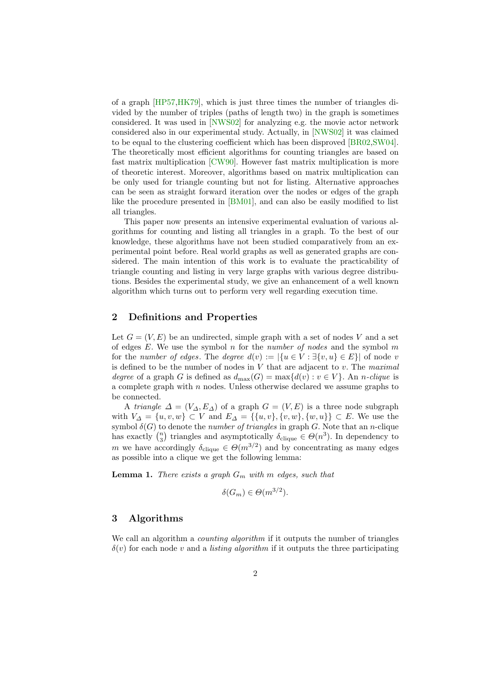of a graph [\[HP57](#page-11-4)[,HK79\]](#page-11-5), which is just three times the number of triangles divided by the number of triples (paths of length two) in the graph is sometimes considered. It was used in [\[NWS02\]](#page-11-6) for analyzing e.g. the movie actor network considered also in our experimental study. Actually, in [\[NWS02\]](#page-11-6) it was claimed to be equal to the clustering coefficient which has been disproved [\[BR02,](#page-10-2)[SW04\]](#page-11-7). The theoretically most efficient algorithms for counting triangles are based on fast matrix multiplication [\[CW90\]](#page-10-3). However fast matrix multiplication is more of theoretic interest. Moreover, algorithms based on matrix multiplication can be only used for triangle counting but not for listing. Alternative approaches can be seen as straight forward iteration over the nodes or edges of the graph like the procedure presented in [\[BM01\]](#page-10-4), and can also be easily modified to list all triangles.

This paper now presents an intensive experimental evaluation of various algorithms for counting and listing all triangles in a graph. To the best of our knowledge, these algorithms have not been studied comparatively from an experimental point before. Real world graphs as well as generated graphs are considered. The main intention of this work is to evaluate the practicability of triangle counting and listing in very large graphs with various degree distributions. Besides the experimental study, we give an enhancement of a well known algorithm which turns out to perform very well regarding execution time.

#### 2 Definitions and Properties

Let  $G = (V, E)$  be an undirected, simple graph with a set of nodes V and a set of edges  $E$ . We use the symbol n for the number of nodes and the symbol m for the number of edges. The degree  $d(v) := |\{u \in V : \exists \{v, u\} \in E\}|$  of node v is defined to be the number of nodes in  $V$  that are adjacent to  $v$ . The maximal degree of a graph G is defined as  $d_{\text{max}}(G) = \max\{d(v) : v \in V\}$ . An n-clique is a complete graph with  $n$  nodes. Unless otherwise declared we assume graphs to be connected.

A triangle  $\Delta = (V_{\Delta}, E_{\Delta})$  of a graph  $G = (V, E)$  is a three node subgraph with  $V_{\Delta} = \{u, v, w\} \subset V$  and  $E_{\Delta} = \{\{u, v\}, \{v, w\}, \{w, u\}\} \subset E$ . We use the symbol  $\delta(G)$  to denote the *number of triangles* in graph G. Note that an *n*-clique has exactly  $\binom{n}{3}$  triangles and asymptotically  $\delta_{\text{clique}} \in \Theta(n^3)$ . In dependency to m we have accordingly  $\delta_{\text{clique}} \in \Theta(m^{3/2})$  and by concentrating as many edges as possible into a clique we get the following lemma:

<span id="page-1-0"></span>**Lemma 1.** There exists a graph  $G_m$  with m edges, such that

$$
\delta(G_m) \in \Theta(m^{3/2}).
$$

#### 3 Algorithms

We call an algorithm a *counting algorithm* if it outputs the number of triangles  $\delta(v)$  for each node v and a *listing algorithm* if it outputs the three participating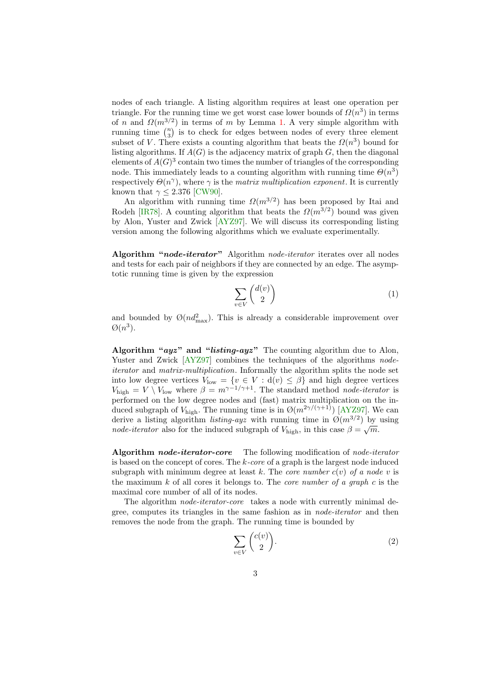nodes of each triangle. A listing algorithm requires at least one operation per triangle. For the running time we get worst case lower bounds of  $\Omega(n^3)$  in terms of n and  $\Omega(m^{3/2})$  in terms of m by Lemma [1.](#page-1-0) A very simple algorithm with running time  $\binom{n}{3}$  is to check for edges between nodes of every three element subset of V. There exists a counting algorithm that beats the  $\Omega(n^3)$  bound for listing algorithms. If  $A(G)$  is the adjacency matrix of graph  $G$ , then the diagonal elements of  $A(G)^3$  contain two times the number of triangles of the corresponding node. This immediately leads to a counting algorithm with running time  $\Theta(n^3)$ respectively  $\Theta(n^{\gamma})$ , where  $\gamma$  is the matrix multiplication exponent. It is currently known that  $\gamma \leq 2.376$  [\[CW90\]](#page-10-3).

An algorithm with running time  $\Omega(m^{3/2})$  has been proposed by Itai and Rodeh [\[IR78\]](#page-11-8). A counting algorithm that beats the  $\Omega(m^{3/2})$  bound was given by Alon, Yuster and Zwick [\[AYZ97\]](#page-10-0). We will discuss its corresponding listing version among the following algorithms which we evaluate experimentally.

Algorithm "node-iterator" Algorithm node-iterator iterates over all nodes and tests for each pair of neighbors if they are connected by an edge. The asymptotic running time is given by the expression

$$
\sum_{v \in V} \binom{d(v)}{2} \tag{1}
$$

and bounded by  $\mathcal{O}(nd_{\text{max}}^2)$ . This is already a considerable improvement over  $\varnothing(n^3)$ .

Algorithm " $ayz$ " and "listing- $ayz$ " The counting algorithm due to Alon, Yuster and Zwick  $[AYZ97]$  combines the techniques of the algorithms nodeiterator and matrix-multiplication. Informally the algorithm splits the node set into low degree vertices  $V_{\text{low}} = \{v \in V : d(v) \leq \beta\}$  and high degree vertices  $V_{\text{high}} = V \setminus V_{\text{low}}$  where  $\beta = m^{\gamma - 1/\gamma + 1}$ . The standard method *node-iterator* is performed on the low degree nodes and (fast) matrix multiplication on the induced subgraph of  $V_{\text{high}}$ . The running time is in  $\mathcal{O}(m^{2\gamma/(\gamma+1)})$  [\[AYZ97\]](#page-10-0). We can derive a listing algorithm *listing-ayz* with running time in  $\mathcal{O}(m^{3/2})$  by using node-iterator also for the induced subgraph of  $V_{\text{high}}$ , in this case  $\beta = \sqrt{m}$ .

<span id="page-2-0"></span>Algorithm node-iterator-core The following modification of node-iterator is based on the concept of cores. The  $k$ -core of a graph is the largest node induced subgraph with minimum degree at least k. The *core number*  $c(v)$  of a node v is the maximum  $k$  of all cores it belongs to. The *core number of a graph c* is the maximal core number of all of its nodes.

The algorithm *node-iterator-core* takes a node with currently minimal degree, computes its triangles in the same fashion as in node-iterator and then removes the node from the graph. The running time is bounded by

$$
\sum_{v \in V} \binom{c(v)}{2}.
$$
\n(2)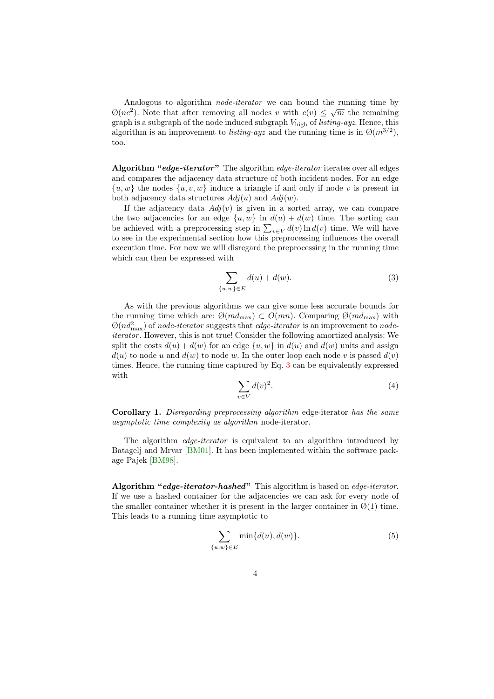Analogous to algorithm *node-iterator* we can bound the running time by  $\mathcal{O}(nc^2)$ . Note that after removing all nodes v with  $c(v) \leq \sqrt{m}$  the remaining graph is a subgraph of the node induced subgraph  $V_{\text{high}}$  of *listing-ayz*. Hence, this algorithm is an improvement to *listing-ayz* and the running time is in  $\mathcal{O}(m^{3/2})$ , too.

Algorithm "edge-iterator" The algorithm edge-iterator iterates over all edges and compares the adjacency data structure of both incident nodes. For an edge  $\{u, w\}$  the nodes  $\{u, v, w\}$  induce a triangle if and only if node v is present in both adjacency data structures  $Adj(u)$  and  $Adj(w)$ .

If the adjacency data  $Adj(v)$  is given in a sorted array, we can compare the two adjacencies for an edge  $\{u, w\}$  in  $d(u) + d(w)$  time. The sorting can be achieved with a preprocessing step in  $\sum_{v \in V} d(v) \ln d(v)$  time. We will have to see in the experimental section how this preprocessing influences the overall execution time. For now we will disregard the preprocessing in the running time which can then be expressed with

<span id="page-3-0"></span>
$$
\sum_{\{u,w\}\in E} d(u) + d(w). \tag{3}
$$

As with the previous algorithms we can give some less accurate bounds for the running time which are:  $\mathcal{O}(md_{\text{max}}) \subset O(mn)$ . Comparing  $\mathcal{O}(md_{\text{max}})$  with  $\mathcal{O}(nd_{\text{max}}^2)$  of node-iterator suggests that edge-iterator is an improvement to nodeiterator. However, this is not true! Consider the following amortized analysis: We split the costs  $d(u) + d(w)$  for an edge  $\{u, w\}$  in  $d(u)$  and  $d(w)$  units and assign  $d(u)$  to node u and  $d(w)$  to node w. In the outer loop each node v is passed  $d(v)$ times. Hence, the running time captured by Eq. [3](#page-3-0) can be equivalently expressed with

$$
\sum_{v \in V} d(v)^2. \tag{4}
$$

<span id="page-3-1"></span>Corollary 1. Disregarding preprocessing algorithm edge-iterator has the same asymptotic time complexity as algorithm node-iterator.

The algorithm *edge-iterator* is equivalent to an algorithm introduced by Batagelj and Mrvar [\[BM01\]](#page-10-4). It has been implemented within the software package Pajek [\[BM98\]](#page-10-5).

Algorithm "edge-iterator-hashed" This algorithm is based on edge-iterator. If we use a hashed container for the adjacencies we can ask for every node of the smaller container whether it is present in the larger container in  $\varnothing(1)$  time. This leads to a running time asymptotic to

$$
\sum_{\{u,w\}\in E} \min\{d(u), d(w)\}.\tag{5}
$$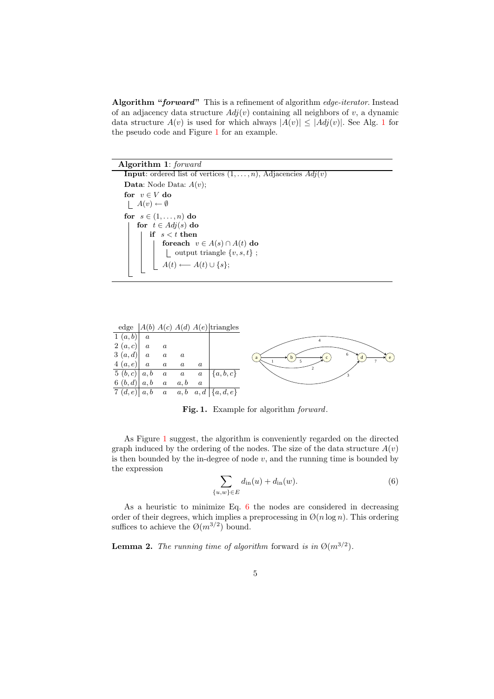Algorithm "forward" This is a refinement of algorithm edge-iterator. Instead of an adjacency data structure  $Adj(v)$  containing all neighbors of v, a dynamic data structure  $A(v)$  is used for which always  $|A(v)| \leq |Adj(v)|$ . See Alg. [1](#page-4-0) for the pseudo code and Figure [1](#page-4-1) for an example.

Algorithm 1: forward

<span id="page-4-0"></span>**Input:** ordered list of vertices  $(1, \ldots, n)$ , Adjacencies  $Adj(v)$ **Data:** Node Data:  $A(v)$ ; for  $v \in V$  do  $\lfloor A(v) \leftarrow \emptyset$ for  $s \in (1, \ldots, n)$  do for  $t \in Adj(s)$  do if  $s < t$  then foreach  $v \in A(s) \cap A(t)$  do  $\begin{bmatrix} \text{output triangle } \{v, s, t\} \end{bmatrix}$  $A(t) \longleftarrow A(t) \cup \{s\};$ 



<span id="page-4-1"></span>Fig. 1. Example for algorithm *forward*.

As Figure [1](#page-4-1) suggest, the algorithm is conveniently regarded on the directed graph induced by the ordering of the nodes. The size of the data structure  $A(v)$ is then bounded by the in-degree of node  $v$ , and the running time is bounded by the expression

<span id="page-4-2"></span>
$$
\sum_{\{u,w\}\in E} d_{\text{in}}(u) + d_{\text{in}}(w).
$$
 (6)

As a heuristic to minimize Eq. [6](#page-4-2) the nodes are considered in decreasing order of their degrees, which implies a preprocessing in  $\mathcal{O}(n \log n)$ . This ordering suffices to achieve the  $\mathcal{O}(m^{3/2})$  bound.

**Lemma 2.** The running time of algorithm forward is in  $\mathcal{O}(m^{3/2})$ .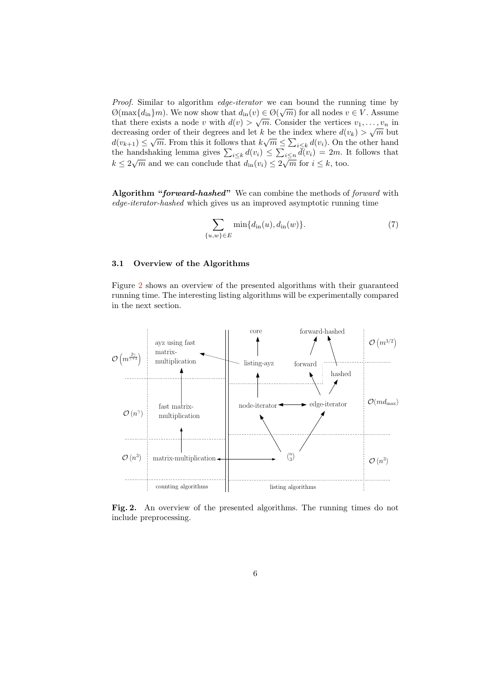Proof. Similar to algorithm *edge-iterator* we can bound the running time by *Troof.* Similar to algorithm edge-terrator we can bound the running time by  $\mathcal{O}(\max\{d_{\text{in}}\}m)$ . We now show that  $d_{\text{in}}(v) \in \mathcal{O}(\sqrt{m})$  for all nodes  $v \in V$ . Assume that there exists a node v with  $d(v) > \sqrt{m}$ . Consider the vertices  $v_1, \ldots, v_n$  in decreasing order of their degrees and let k be the index where  $d(v_k) > \sqrt{m}$  but decreasing order of their degrees and let k be the mask where  $a(v_k) > \sqrt{m}$  but  $d(v_{k+1}) \leq \sqrt{m}$ . From this it follows that  $k\sqrt{m} \leq \sum_{i \leq k} d(v_i)$ . On the other hand the handshaking lemma gives  $\sum_{i\leq k} d(v_i) \leq \sum_{i\leq n} \bar{d}(v_i) = 2m$ . It follows that We handshall general end on  $\sum_{i \leq k} a_i (v_i) \leq \sum_{i \leq n} a_i (v_i) = 2m$ .

Algorithm "forward-hashed" We can combine the methods of forward with edge-iterator-hashed which gives us an improved asymptotic running time

$$
\sum_{\{u,w\}\in E} \min\{d_{\text{in}}(u), d_{\text{in}}(w)\}.
$$
 (7)

#### 3.1 Overview of the Algorithms

Figure [2](#page-5-0) shows an overview of the presented algorithms with their guaranteed running time. The interesting listing algorithms will be experimentally compared in the next section.



<span id="page-5-0"></span>Fig. 2. An overview of the presented algorithms. The running times do not include preprocessing.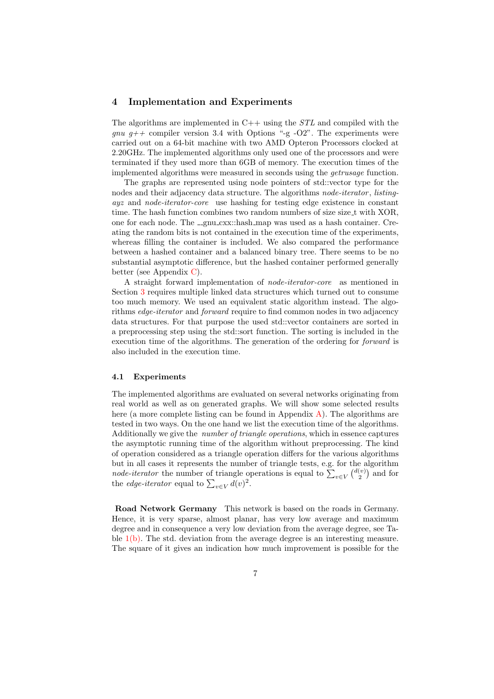#### 4 Implementation and Experiments

The algorithms are implemented in  $C++$  using the  $STL$  and compiled with the *gnu g++* compiler version 3.4 with Options "-g -O2". The experiments were carried out on a 64-bit machine with two AMD Opteron Processors clocked at 2.20GHz. The implemented algorithms only used one of the processors and were terminated if they used more than 6GB of memory. The execution times of the implemented algorithms were measured in seconds using the getrusage function.

The graphs are represented using node pointers of std::vector type for the nodes and their adjacency data structure. The algorithms *node-iterator*, *listing*ayz and node-iterator-core use hashing for testing edge existence in constant time. The hash function combines two random numbers of size size\_t with XOR, one for each node. The \_gnu\_cxx::hash\_map was used as a hash container. Creating the random bits is not contained in the execution time of the experiments, whereas filling the container is included. We also compared the performance between a hashed container and a balanced binary tree. There seems to be no substantial asymptotic difference, but the hashed container performed generally better (see Appendix [C\)](#page-32-0).

A straight forward implementation of node-iterator-core as mentioned in Section [3](#page-2-0) requires multiple linked data structures which turned out to consume too much memory. We used an equivalent static algorithm instead. The algorithms edge-iterator and forward require to find common nodes in two adjacency data structures. For that purpose the used std::vector containers are sorted in a preprocessing step using the std::sort function. The sorting is included in the execution time of the algorithms. The generation of the ordering for *forward* is also included in the execution time.

#### 4.1 Experiments

The implemented algorithms are evaluated on several networks originating from real world as well as on generated graphs. We will show some selected results here (a more complete listing can be found in Appendix [A\)](#page-12-0). The algorithms are tested in two ways. On the one hand we list the execution time of the algorithms. Additionally we give the *number of triangle operations*, which in essence captures the asymptotic running time of the algorithm without preprocessing. The kind of operation considered as a triangle operation differs for the various algorithms but in all cases it represents the number of triangle tests, e.g. for the algorithm *node-iterator* the number of triangle operations is equal to  $\sum_{v \in V} {d(v) \choose 2}$  and for the *edge-iterator* equal to  $\sum_{v \in V} d(v)^2$ .

<span id="page-6-0"></span>Road Network Germany This network is based on the roads in Germany. Hence, it is very sparse, almost planar, has very low average and maximum degree and in consequence a very low deviation from the average degree, see Table  $1(b)$ . The std. deviation from the average degree is an interesting measure. The square of it gives an indication how much improvement is possible for the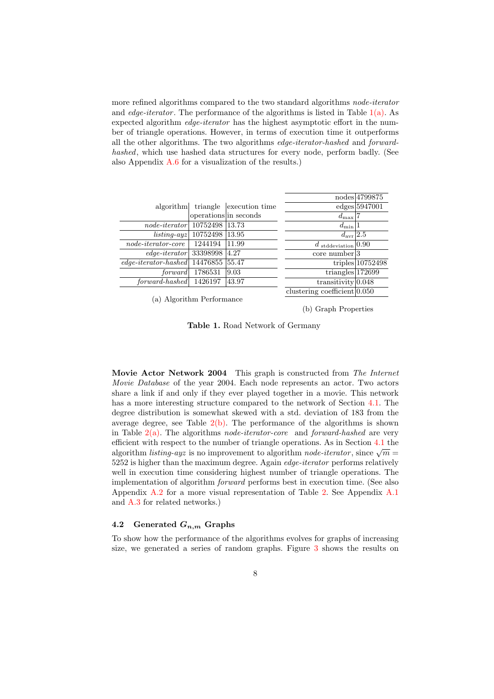more refined algorithms compared to the two standard algorithms *node-iterator* and *edge-iterator*. The performance of the algorithms is listed in Table  $1(a)$ . As expected algorithm *edge-iterator* has the highest asymptotic effort in the number of triangle operations. However, in terms of execution time it outperforms all the other algorithms. The two algorithms edge-iterator-hashed and forwardhashed, which use hashed data structures for every node, perform badly. (See also Appendix [A.6](#page-18-0) for a visualization of the results.)

<span id="page-7-1"></span>

|                                    |                       |                         |                                  | nodes 4799875      |
|------------------------------------|-----------------------|-------------------------|----------------------------------|--------------------|
| algorithm                          |                       | triangle execution time |                                  | edges 5947001      |
|                                    | operations in seconds |                         | $d_{\max}$                       |                    |
| $node\text{-}iterator$             | 10752498              | 13.73                   | $d_{\min} 1$                     |                    |
| $listing-ayz$                      | 10752498              | 13.95                   | $d_{\rm avr}$ 2.5                |                    |
| $node\text{-}iterator\text{-}core$ | 1244194               | 11.99                   | $d$ stddeviation 0.90            |                    |
| $edge-iterator$ 33398998           |                       | 4.27                    | $core\ number 3$                 |                    |
| $edge-iterator\text{-}hashed$      | 14476855              | 55.47                   |                                  | triples $10752498$ |
| forward                            | 1786531               | 9.03                    | triangles $172699$               |                    |
| forward-hashed                     | 1426197               | 43.97                   | transitivity $0.048$             |                    |
|                                    |                       |                         | clustering coefficient $ 0.050 $ |                    |
| $\sqrt{1}$                         |                       |                         |                                  |                    |

(a) Algorithm Performance

<span id="page-7-0"></span>(b) Graph Properties

<span id="page-7-4"></span>Table 1. Road Network of Germany

<span id="page-7-3"></span>Movie Actor Network 2004 This graph is constructed from The Internet Movie Database of the year 2004. Each node represents an actor. Two actors share a link if and only if they ever played together in a movie. This network has a more interesting structure compared to the network of Section [4.1.](#page-6-0) The degree distribution is somewhat skewed with a std. deviation of 183 from the average degree, see Table  $2(b)$ . The performance of the algorithms is shown in Table  $2(a)$ . The algorithms *node-iterator-core* and *forward-hashed* are very efficient with respect to the number of triangle operations. As in Section [4.1](#page-6-0) the emetent with respect to the number of triangle operations. As in Section 4.1 the algorithm *listing-ayz* is no improvement to algorithm *node-iterator*, since  $\sqrt{m}$  $5252$  is higher than the maximum degree. Again *edge-iterator* performs relatively well in execution time considering highest number of triangle operations. The implementation of algorithm forward performs best in execution time. (See also Appendix [A.2](#page-14-0) for a more visual representation of Table [2.](#page-8-2) See Appendix [A.1](#page-13-0) and [A.3](#page-15-0) for related networks.)

#### <span id="page-7-2"></span>4.2 Generated  $G_{n,m}$  Graphs

To show how the performance of the algorithms evolves for graphs of increasing size, we generated a series of random graphs. Figure [3](#page-8-3) shows the results on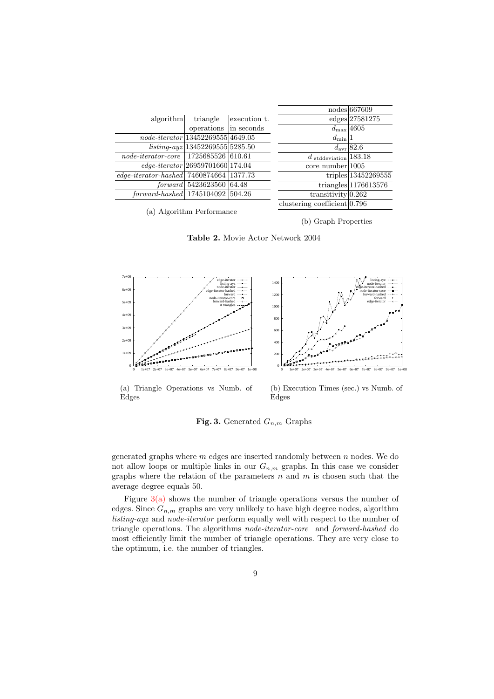<span id="page-8-1"></span>

|                                                                |                                    |              |                                             | nodes 667609           |
|----------------------------------------------------------------|------------------------------------|--------------|---------------------------------------------|------------------------|
| algorithm                                                      | triangle                           | execution t. |                                             | edges 27581275         |
|                                                                | operations in seconds              |              | $d_{\text{max}}$ 4605                       |                        |
| $node\text{-}iterator   13452269555   4649.05$                 |                                    |              | $d_{\min} 1$                                |                        |
|                                                                | $listing-ayz 13452269555 5285.50$  |              |                                             | $d_{\text{avr}}$ 82.6  |
| $node\text{-}iterator\text{-}core \mid 1725685526 \mid 610.61$ |                                    |              | $d_{\text{stddeviation}} 183.\overline{18}$ |                        |
|                                                                | $edge-iterator 26959701660 174.04$ |              | $core\ number$ 1005                         |                        |
| edge-iterator-hashed $\sqrt{7460874664}$ 1377.73               |                                    |              |                                             | triples 13452269555    |
|                                                                | forward   5423623560   64.48       |              |                                             | $triangles$ 1176613576 |
| $forward\text{-}hashed$   1745104092   504.26                  |                                    |              | transitivity $0.262$                        |                        |
|                                                                |                                    |              | clustering coefficient $ 0.796 $            |                        |

(a) Algorithm Performance

<span id="page-8-0"></span>(b) Graph Properties

<span id="page-8-2"></span>

<span id="page-8-4"></span>



(a) Triangle Operations vs Numb. of Edges

<span id="page-8-5"></span>(b) Execution Times (sec.) vs Numb. of Edges

<span id="page-8-3"></span>Fig. 3. Generated  $G_{n,m}$  Graphs

generated graphs where  $m$  edges are inserted randomly between  $n$  nodes. We do not allow loops or multiple links in our  $G_{n,m}$  graphs. In this case we consider graphs where the relation of the parameters  $n$  and  $m$  is chosen such that the average degree equals 50.

Figure  $3(a)$  shows the number of triangle operations versus the number of edges. Since  $G_{n,m}$  graphs are very unlikely to have high degree nodes, algorithm listing-ayz and node-iterator perform equally well with respect to the number of triangle operations. The algorithms node-iterator-core and forward-hashed do most efficiently limit the number of triangle operations. They are very close to the optimum, i.e. the number of triangles.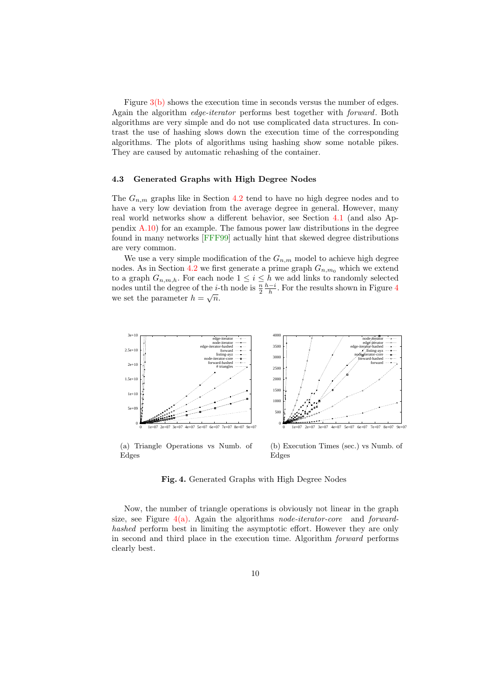Figure  $3(b)$  shows the execution time in seconds versus the number of edges. Again the algorithm edge-iterator performs best together with forward. Both algorithms are very simple and do not use complicated data structures. In contrast the use of hashing slows down the execution time of the corresponding algorithms. The plots of algorithms using hashing show some notable pikes. They are caused by automatic rehashing of the container.

#### 4.3 Generated Graphs with High Degree Nodes

The  $G_{n,m}$  graphs like in Section [4.2](#page-7-2) tend to have no high degree nodes and to have a very low deviation from the average degree in general. However, many real world networks show a different behavior, see Section [4.1](#page-7-3) (and also Appendix [A.10\)](#page-22-0) for an example. The famous power law distributions in the degree found in many networks [\[FFF99\]](#page-10-6) actually hint that skewed degree distributions are very common.

We use a very simple modification of the  $G_{n,m}$  model to achieve high degree nodes. As in Section [4.2](#page-7-2) we first generate a prime graph  $G_{n,m_0}$  which we extend to a graph  $G_{n,m,h}$ . For each node  $1 \leq i \leq h$  we add links to randomly selected nodes until the degree of the *i*-th node is  $\frac{n}{2} \frac{h-i}{h}$ . For the results shown in Figure [4](#page-9-0) we set the parameter  $h = \sqrt{n}$ .

<span id="page-9-1"></span>

(a) Triangle Operations vs Numb. of Edges

<span id="page-9-2"></span>(b) Execution Times (sec.) vs Numb. of Edges

<span id="page-9-0"></span>Fig. 4. Generated Graphs with High Degree Nodes

Now, the number of triangle operations is obviously not linear in the graph size, see Figure  $4(a)$ . Again the algorithms *node-iterator-core* and *forward*hashed perform best in limiting the asymptotic effort. However they are only in second and third place in the execution time. Algorithm forward performs clearly best.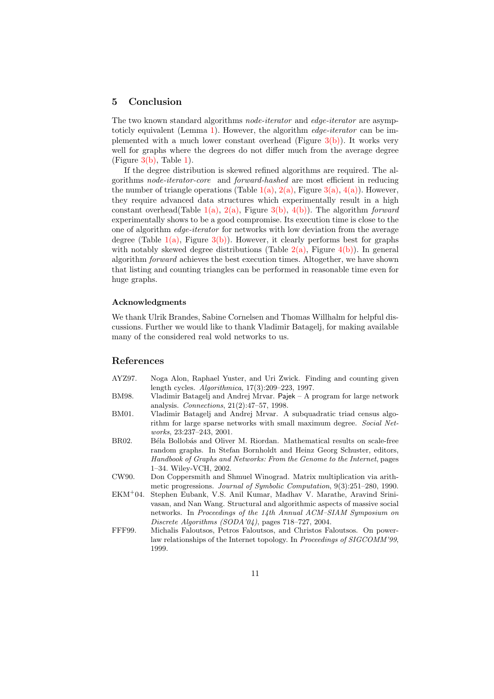#### 5 Conclusion

The two known standard algorithms *node-iterator* and *edge-iterator* are asymp-toticly equivalent (Lemma [1\)](#page-3-1). However, the algorithm *edge-iterator* can be implemented with a much lower constant overhead (Figure  $3(b)$ ). It works very well for graphs where the degrees do not differ much from the average degree  $(Figure 3(b), Table 1).$  $(Figure 3(b), Table 1).$  $(Figure 3(b), Table 1).$  $(Figure 3(b), Table 1).$  $(Figure 3(b), Table 1).$ 

If the degree distribution is skewed refined algorithms are required. The algorithms node-iterator-core and forward-hashed are most efficient in reducing the number of triangle operations (Table  $1(a)$ ,  $2(a)$ , Figure  $3(a)$ ,  $4(a)$ ). However, they require advanced data structures which experimentally result in a high constant overhead(Table [1\(a\),](#page-7-1) [2\(a\),](#page-8-1) Figure [3\(b\),](#page-8-5) [4\(b\)\)](#page-9-2). The algorithm forward experimentally shows to be a good compromise. Its execution time is close to the one of algorithm edge-iterator for networks with low deviation from the average degree (Table  $1(a)$ , Figure  $3(b)$ ). However, it clearly performs best for graphs with notably skewed degree distributions (Table  $2(a)$ , Figure  $4(b)$ ). In general algorithm forward achieves the best execution times. Altogether, we have shown that listing and counting triangles can be performed in reasonable time even for huge graphs.

#### Acknowledgments

We thank Ulrik Brandes, Sabine Cornelsen and Thomas Willhalm for helpful discussions. Further we would like to thank Vladimir Batagelj, for making available many of the considered real wold networks to us.

#### References

- <span id="page-10-0"></span>AYZ97. Noga Alon, Raphael Yuster, and Uri Zwick. Finding and counting given length cycles. Algorithmica, 17(3):209–223, 1997.
- <span id="page-10-5"></span>BM98. Vladimir Batagelj and Andrej Mrvar. Pajek – A program for large network analysis. Connections, 21(2):47–57, 1998.
- <span id="page-10-4"></span>BM01. Vladimir Batagelj and Andrej Mrvar. A subquadratic triad census algorithm for large sparse networks with small maximum degree. Social Networks, 23:237–243, 2001.
- <span id="page-10-2"></span>BR02. Béla Bollobás and Oliver M. Riordan. Mathematical results on scale-free random graphs. In Stefan Bornholdt and Heinz Georg Schuster, editors, Handbook of Graphs and Networks: From the Genome to the Internet, pages 1–34. Wiley-VCH, 2002.
- <span id="page-10-3"></span>CW90. Don Coppersmith and Shmuel Winograd. Matrix multiplication via arithmetic progressions. Journal of Symbolic Computation, 9(3):251–280, 1990.
- <span id="page-10-1"></span>EKM<sup>+</sup>04. Stephen Eubank, V.S. Anil Kumar, Madhav V. Marathe, Aravind Srinivasan, and Nan Wang. Structural and algorithmic aspects of massive social networks. In Proceedings of the 14th Annual ACM–SIAM Symposium on Discrete Algorithms (SODA'04), pages 718–727, 2004.
- <span id="page-10-6"></span>FFF99. Michalis Faloutsos, Petros Faloutsos, and Christos Faloutsos. On powerlaw relationships of the Internet topology. In Proceedings of SIGCOMM'99, 1999.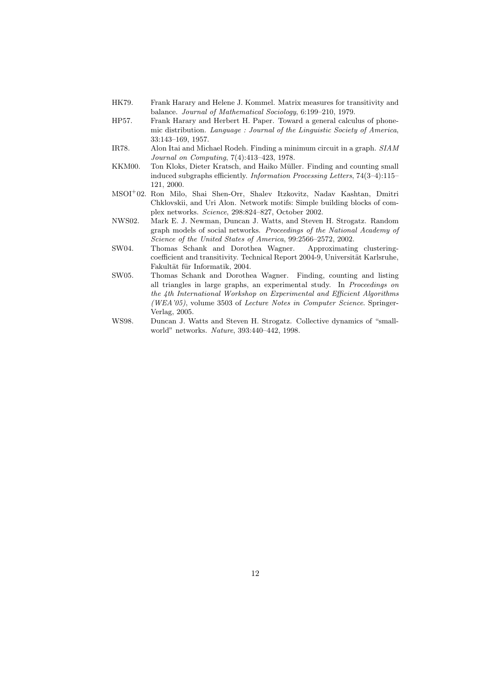- <span id="page-11-5"></span>HK79. Frank Harary and Helene J. Kommel. Matrix measures for transitivity and balance. Journal of Mathematical Sociology, 6:199–210, 1979.
- <span id="page-11-4"></span>HP57. Frank Harary and Herbert H. Paper. Toward a general calculus of phonemic distribution. Language : Journal of the Linguistic Society of America, 33:143–169, 1957.
- <span id="page-11-8"></span>IR78. Alon Itai and Michael Rodeh. Finding a minimum circuit in a graph. SIAM Journal on Computing, 7(4):413–423, 1978.
- <span id="page-11-0"></span>KKM00. Ton Kloks, Dieter Kratsch, and Haiko Müller. Finding and counting small induced subgraphs efficiently. Information Processing Letters, 74(3–4):115– 121, 2000.
- <span id="page-11-1"></span>MSOI<sup>+</sup>02. Ron Milo, Shai Shen-Orr, Shalev Itzkovitz, Nadav Kashtan, Dmitri Chklovskii, and Uri Alon. Network motifs: Simple building blocks of complex networks. Science, 298:824–827, October 2002.
- <span id="page-11-6"></span>NWS02. Mark E. J. Newman, Duncan J. Watts, and Steven H. Strogatz. Random graph models of social networks. Proceedings of the National Academy of Science of the United States of America, 99:2566–2572, 2002.
- <span id="page-11-7"></span>SW04. Thomas Schank and Dorothea Wagner. Approximating clusteringcoefficient and transitivity. Technical Report 2004-9, Universität Karlsruhe, Fakultät für Informatik, 2004.
- <span id="page-11-3"></span>SW05. Thomas Schank and Dorothea Wagner. Finding, counting and listing all triangles in large graphs, an experimental study. In Proceedings on the 4th International Workshop on Experimental and Efficient Algorithms (WEA'05), volume 3503 of Lecture Notes in Computer Science. Springer-Verlag, 2005.
- <span id="page-11-2"></span>WS98. Duncan J. Watts and Steven H. Strogatz. Collective dynamics of "smallworld" networks. Nature, 393:440–442, 1998.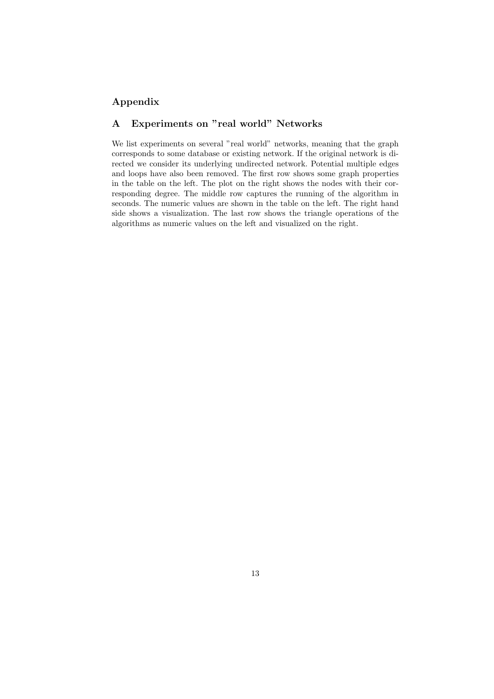### Appendix

## <span id="page-12-0"></span>A Experiments on "real world" Networks

We list experiments on several "real world" networks, meaning that the graph corresponds to some database or existing network. If the original network is directed we consider its underlying undirected network. Potential multiple edges and loops have also been removed. The first row shows some graph properties in the table on the left. The plot on the right shows the nodes with their corresponding degree. The middle row captures the running of the algorithm in seconds. The numeric values are shown in the table on the left. The right hand side shows a visualization. The last row shows the triangle operations of the algorithms as numeric values on the left and visualized on the right.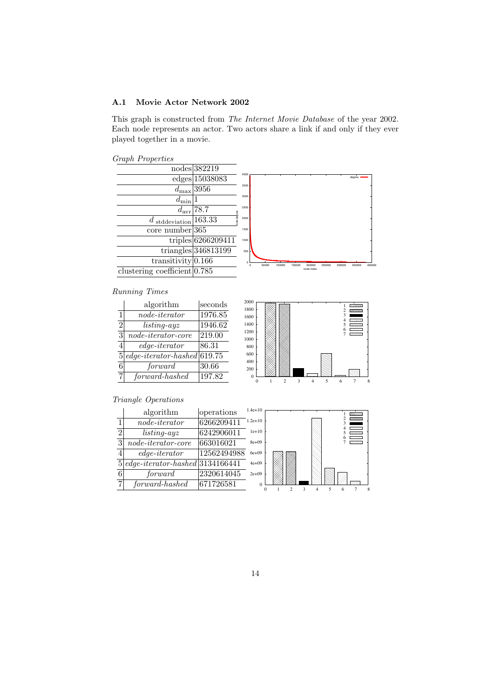#### <span id="page-13-0"></span>A.1 Movie Actor Network 2002

This graph is constructed from The Internet Movie Database of the year 2002. Each node represents an actor. Two actors share a link if and only if they ever played together in a movie.

Graph Properties



### Running Times

|                | algorithm                            | seconds |
|----------------|--------------------------------------|---------|
| 1              | $node\text{-}iterator$               | 1976.85 |
| $\overline{2}$ | $listing-ayz$                        | 1946.62 |
| $\overline{3}$ | $node\text{-}iterator\text{-}core$   | 219.00  |
|                | $edge-iterator$                      | 86.31   |
| 5              | $edge-iterator\text{-}hashed 619.75$ |         |
| 6              | forward                              | 30.66   |
| 7.             | forward-hashed                       | 197.82  |



|   | algorithm                                   | operations  | $1.4e+10$ |  |  |  | ಯಯಯ                        |  |
|---|---------------------------------------------|-------------|-----------|--|--|--|----------------------------|--|
|   | $node\text{-}iterator$                      | 6266209411  | $1.2e+10$ |  |  |  | 0603030<br>m               |  |
|   | $listing-ayz$                               | 6242906011  | $1e+10$   |  |  |  | 19696363<br><b>PARTIES</b> |  |
| 3 | $node\text{-}iterator\text{-}core$          | 663016021   | $8e + 09$ |  |  |  | <b>CONTRACTOR</b>          |  |
|   | $edge-iterator$                             | 12562494988 | $6e + 09$ |  |  |  |                            |  |
|   | $5 edge-iteration\text{-}hashed 3134166441$ |             | $4e + 09$ |  |  |  |                            |  |
|   | forward                                     | 2320614045  | $2e+09$   |  |  |  |                            |  |
|   | forward-hashed                              | 671726581   |           |  |  |  | <b>Control</b>             |  |
|   |                                             |             |           |  |  |  |                            |  |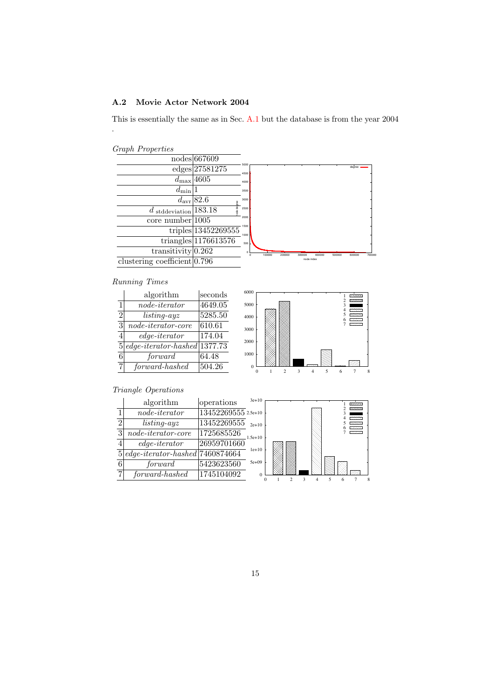#### <span id="page-14-0"></span>A.2 Movie Actor Network 2004

This is essentially the same as in Sec. [A.1](#page-13-0) but the database is from the year 2004

| <b>Graph Properties</b> |
|-------------------------|
|                         |

.



#### Running Times

|                | algorithm                               | seconds |
|----------------|-----------------------------------------|---------|
| 1              | $node\text{-}iterator$                  | 4649.05 |
| $\overline{2}$ | $listing-ayz$                           | 5285.50 |
| 3              | $node\text{-}iterator\text{-}core$      | 610.61  |
| 4              | $edge-iterator$                         | 174.04  |
| 5 <sup>1</sup> | $edge-iterator\text{-}hashed$ [1377.73] |         |
| 6              | forward                                 | 64.48   |
| 7              | forward-hashed                          | 504.26  |



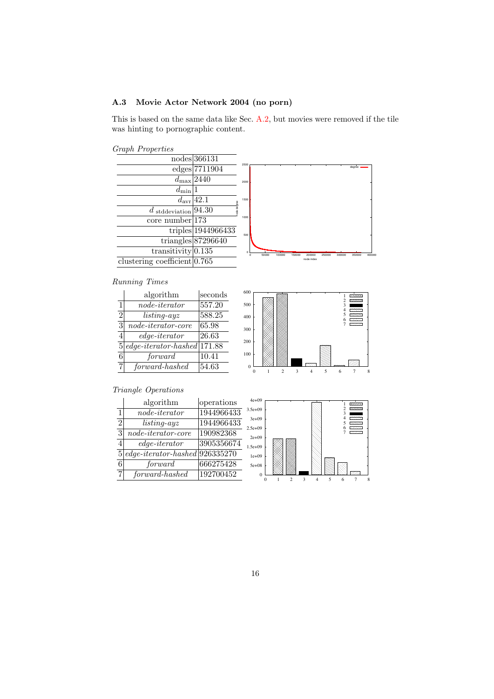### <span id="page-15-0"></span>A.3 Movie Actor Network 2004 (no porn)

This is based on the same data like Sec. [A.2,](#page-14-0) but movies were removed if the tile was hinting to pornographic content.





#### Running Times

|                | algorithm                             | seconds |
|----------------|---------------------------------------|---------|
| 1              | $node\text{-}iterator$                | 557.20  |
| $\overline{2}$ | $listing-ayz$                         | 588.25  |
| 3              | $node\text{-}iterator\text{-}core$    | 65.98   |
|                | $edge-iterator$                       | 26.63   |
| 5              | $edge-iterator\text{-}hashed$ [171.88 |         |
| 6              | forward                               | 10.41   |
|                | $forward\!$                           | 54.63   |



|                | algorithm                               | operations |    |
|----------------|-----------------------------------------|------------|----|
| $\mathbf{1}$   | $node\text{-}iterator$                  | 1944966433 | 3  |
| $\overline{2}$ | $listing-ayz$                           | 1944966433 | -2 |
| 3              | $node\text{-}iterator\text{-}core$      | 190982368  |    |
| $\overline{4}$ | $edge-iterator$                         | 3905356674 |    |
| 5 <sup>1</sup> | $edge-iterator\text{-}hashed 926335270$ |            |    |
| 6              | forward                                 | 666275428  |    |
| 7              | forward-hashed                          | 192700452  |    |

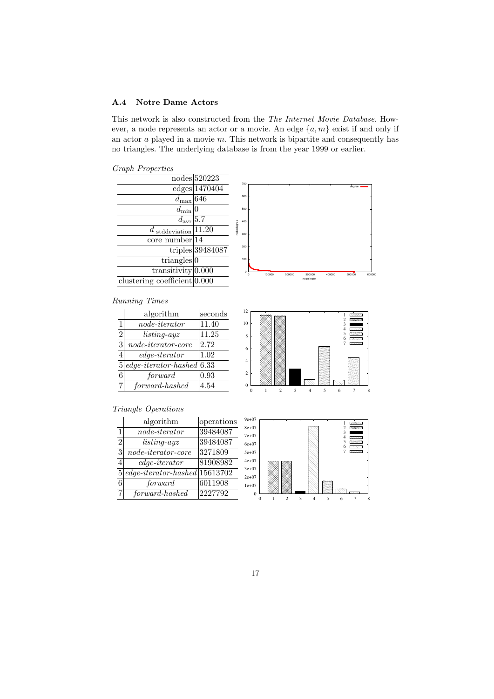#### A.4 Notre Dame Actors

This network is also constructed from the The Internet Movie Database. However, a node represents an actor or a movie. An edge  $\{a, m\}$  exist if and only if an actor  $a$  played in a movie  $m$ . This network is bipartite and consequently has no triangles. The underlying database is from the year 1999 or earlier.

Graph Properties

|                                                                                                                                                                                                                                                 | 600                            |            |        |  |
|-------------------------------------------------------------------------------------------------------------------------------------------------------------------------------------------------------------------------------------------------|--------------------------------|------------|--------|--|
|                                                                                                                                                                                                                                                 | 500                            |            |        |  |
|                                                                                                                                                                                                                                                 | 400                            |            |        |  |
|                                                                                                                                                                                                                                                 | 300                            |            |        |  |
|                                                                                                                                                                                                                                                 |                                |            |        |  |
|                                                                                                                                                                                                                                                 |                                |            |        |  |
|                                                                                                                                                                                                                                                 | 100                            |            |        |  |
|                                                                                                                                                                                                                                                 | $\Omega$                       |            | 100000 |  |
|                                                                                                                                                                                                                                                 |                                |            |        |  |
| nodes 520223<br>$edges$ 1470404<br>$d_{\text{max}} 64\bar{6} $<br>$d_{\min}$<br>$d_{\rm avr}$ 5.7<br>$d$ stddeviation 11.20<br>$core\ number$  14<br>$triangles$ <sub>0</sub><br>transitivity $0.000$<br>clustering coefficient $ 0.000\rangle$ | ode degree<br>triples 39484087 | 700<br>200 |        |  |

### Running Times

|                | algorithm                                     | seconds |
|----------------|-----------------------------------------------|---------|
| $\mathbf{1}$   | $node\text{-}iterator$                        | 11.40   |
| $\overline{2}$ | $listing-ayz$                                 | 11.25   |
| 3              | $node\text{-}iterator\text{-}core$            | 2.72    |
| 4              | $edge-iterator$                               | 1.02    |
| 5              | $edge\text{-}iterator\text{-}hashCode   6.33$ |         |
| 6              | forward                                       | 0.93    |
|                | forward-hashed                                | 4.54    |



degree



|                | algorithm                              | operations |
|----------------|----------------------------------------|------------|
| 1              | $node\text{-}iterator$                 | 39484087   |
| $\overline{2}$ | $listing-ayz$                          | 39484087   |
| 3              | $node\text{-}iterator\text{-}core$     | 3271809    |
|                | $edge-iterator$                        | 81908982   |
| 5 <sup>1</sup> | $edge-iterator\text{-}hashed 15613702$ |            |
| 6              | forward                                | 6011908    |
| 7              | forward-hashed                         | 2227792    |

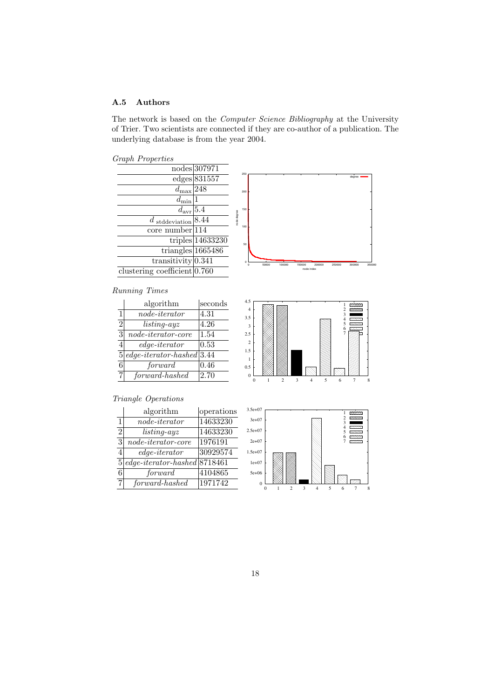### A.5 Authors

The network is based on the Computer Science Bibliography at the University of Trier. Two scientists are connected if they are co-author of a publication. The underlying database is from the year 2004.

Graph Properties



|                | algorithin                                     | secongs |
|----------------|------------------------------------------------|---------|
| 1              | $node\text{-}iterator$                         | 4.31    |
| $\overline{2}$ | $listing-ayz$                                  | 4.26    |
| $\overline{3}$ | $node\text{-}iterator\text{-}core$             | 1.54    |
| 4              | $edge-iterator$                                | 0.53    |
| 5              | $edge\text{-}iterator\text{-}hashed \,   3.44$ |         |
| 6              | forward                                        | 0.46    |
| 7              | forward-hashed                                 | 2.70    |



|                | algorithm                                        | operations |
|----------------|--------------------------------------------------|------------|
| 1              | $node\text{-}iterator$                           | 14633230   |
| $\overline{2}$ | $listing-ayz$                                    | 14633230   |
| 3              | $node\text{-}iterator\text{-}core$               | 1976191    |
| 4              | $edge-iterator$                                  | 30929574   |
| 5              | $edge-iterator\text{-}hashed 871\overline{8461}$ |            |
| 6              | forward                                          | 4104865    |
| 7              | forward-hashed                                   | 1971742    |





18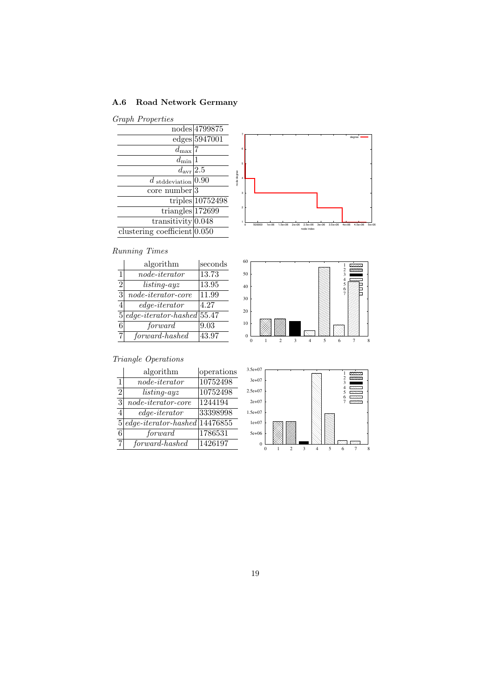# <span id="page-18-0"></span>A.6 Road Network Germany

### Graph Properties

|                                | nodes 4799875      |
|--------------------------------|--------------------|
|                                | edges 5947001      |
| $d_{\max}$                     |                    |
| $d_{\min}$                     |                    |
| $d_{\rm avr}$  2.5             |                    |
| $d$ stddeviation 0.90          |                    |
| $core\ number 3$               |                    |
|                                | $triples$ 10752498 |
| triangles $172699$             |                    |
| transitivity $0.048$           |                    |
| clustering coefficient   0.050 |                    |



# Running Times

|                | algorithm                                      | seconds |
|----------------|------------------------------------------------|---------|
| 1              | $node\text{-}iterator$                         | 13.73   |
| $\overline{2}$ | $listing-ayz$                                  | 13.95   |
| 3              | $node\text{-}iterator\text{-}core$             | 11.99   |
| 4              | $edge-iterator$                                | 4.27    |
| 5              | $edge\text{-}iterator\text{-}hashCode   55.47$ |         |
| 6              | forward                                        | 9.03    |
| 7              | forward-hashed                                 | 43.97   |



|                | algorithm                                          | operations |
|----------------|----------------------------------------------------|------------|
| 1              | $node\text{-}iterator$                             | 10752498   |
| $\overline{2}$ | $listing-ayz$                                      | 10752498   |
| 3              | $node\text{-}iterator\text{-}core$                 | 1244194    |
|                | $edge-iterator$                                    | 33398998   |
| 5              | $edge\text{-}iterator\text{-}hashCode \< 14476855$ |            |
| 6              | forward                                            | 1786531    |
| 7              | forward-hashed                                     | 1426197    |

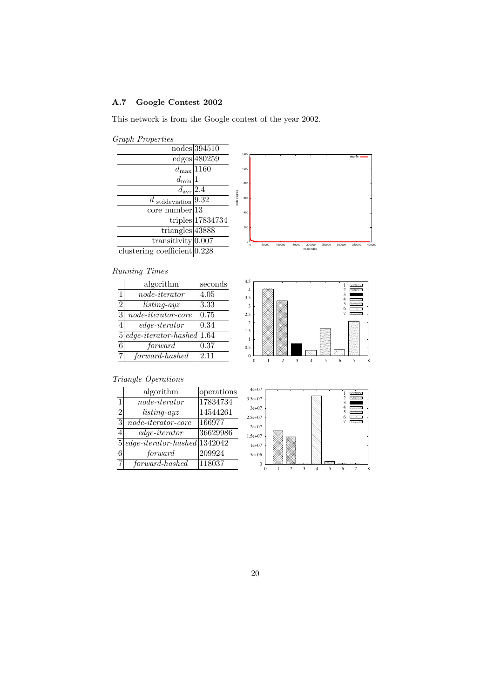# A.7 Google Contest 2002

This network is from the Google contest of the year 2002.

| <b>Graph Properties</b> |
|-------------------------|
|                         |

|                                | nodes 394510                     |             | 1200 |
|--------------------------------|----------------------------------|-------------|------|
|                                | edges 480259                     |             |      |
|                                | $d_{\text{max}} 11\overline{60}$ |             | 1000 |
| $d_{\min}$                     |                                  |             | 800  |
| $d_{\text{avr}}$  2.4          |                                  |             |      |
| $d$ stddeviation $ 9.32$       |                                  | tode degree | 600  |
| $core\ number$   13            |                                  |             | 400  |
|                                | $triples$ 17834734               |             |      |
| triangles $43888$              |                                  |             | 200  |
| transitivity $0.007$           |                                  |             |      |
| clustering coefficient $0.228$ |                                  |             |      |
|                                |                                  |             |      |

### Running Times

|                | algorithm                                   | seconds |
|----------------|---------------------------------------------|---------|
| 1              | $node\text{-}iterator$                      | 4.05    |
| $\overline{2}$ | $listing-ayz$                               | 3.33    |
| $\overline{3}$ | $node\text{-}iterator\text{-}core$          | 0.75    |
| 4              | $edge-iterator$                             | 0.34    |
| 5              | $edge\text{-}iterator\text{-}hashed   1.64$ |         |
| 6              | forward                                     | 0.37    |
| 7              | forward-hashed                              | 2.11    |



degree

|                | algorithm                                        | operations |
|----------------|--------------------------------------------------|------------|
| 1              | $node\text{-}iterator$                           | 17834734   |
| $\overline{2}$ | $listing-ayz$                                    | 14544261   |
| $\overline{3}$ | $node\text{-}iterator\text{-}core$               | 166977     |
|                | $edge-iterator$                                  | 36629986   |
| 5              | $edge-iterator\text{-}hashed 134\overline{2042}$ |            |
| 6              | forward                                          | 209924     |
| 7              | forward-hashed                                   | 118037     |

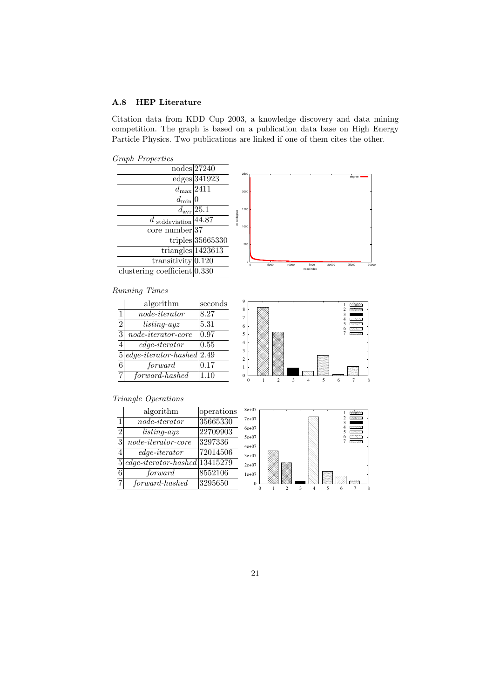#### A.8 HEP Literature

Citation data from KDD Cup 2003, a knowledge discovery and data mining competition. The graph is based on a publication data base on High Energy Particle Physics. Two publications are linked if one of them cites the other.

Graph Properties



|                | algorithm                           | seconds |
|----------------|-------------------------------------|---------|
| 1              | $node\text{-}iterator$              | 8.27    |
| $\overline{2}$ | $listing-ayz$                       | 5.31    |
| $\overline{3}$ | $node\text{-}iterator\text{-}core$  | 0.97    |
| 4              | $edge-iterator$                     | 0.55    |
| 5 <sup>1</sup> | $edge-iterator\text{-}hashed  2.49$ |         |
| 6              | forward                             | 0.17    |

7 forward-hashed 1.10



|                | algorithm                              | operations           |
|----------------|----------------------------------------|----------------------|
| 1              | $node\text{-}iterator$                 | 35665330             |
| $\overline{2}$ | $listing-ayz$                          | 22709903             |
| 3              | $node\text{-}iterator\text{-}core$     | $\overline{3297336}$ |
| 4              | $edge-iterator$                        | 72014506             |
| 5 <sup>1</sup> | $edge-iterator\text{-}hashed 13415279$ |                      |
| 6              | forward                                | 8552106              |
| 7              | forward-hashed                         | 3295650              |

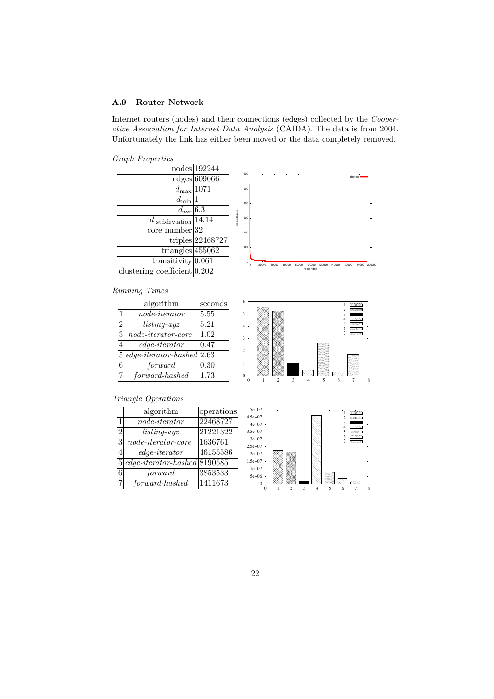#### A.9 Router Network

Internet routers (nodes) and their connections (edges) collected by the Cooperative Association for Internet Data Analysis (CAIDA). The data is from 2004. Unfortunately the link has either been moved or the data completely removed.

Graph Properties

| $\cdots$ are provided by the second second second second second second second second second second second second second second second second second second second second second second second second second second second second |                     |            |               |       |         |       |            |                  |        |        |            |        |
|----------------------------------------------------------------------------------------------------------------------------------------------------------------------------------------------------------------------------------|---------------------|------------|---------------|-------|---------|-------|------------|------------------|--------|--------|------------|--------|
|                                                                                                                                                                                                                                  | nodes 192244        |            |               |       |         |       |            |                  |        |        |            |        |
|                                                                                                                                                                                                                                  | edges 609066        |            | 1200          |       |         |       |            |                  |        |        | degree     |        |
| $d_{\text{max}} 1071$                                                                                                                                                                                                            |                     |            | 1000          |       |         |       |            |                  |        |        |            |        |
| $d_{\min}$                                                                                                                                                                                                                       |                     |            | 800           |       |         |       |            |                  |        |        |            |        |
| $d_{\text{avr}} 6.3$                                                                                                                                                                                                             |                     |            |               |       |         |       |            |                  |        |        |            |        |
| $d$ stddeviation 14.14                                                                                                                                                                                                           |                     | ode degree | 600           |       |         |       |            |                  |        |        |            |        |
| $core\;number 32$                                                                                                                                                                                                                |                     |            | 400           |       |         |       |            |                  |        |        |            |        |
|                                                                                                                                                                                                                                  | triples $ 22468727$ |            |               |       |         |       |            |                  |        |        |            |        |
| triangles $455062$                                                                                                                                                                                                               |                     |            | 200           |       |         |       |            |                  |        |        |            |        |
| transitivity $ 0.061$                                                                                                                                                                                                            |                     |            | $\Omega$<br>n | 20000 | 40000   | 60000 | 80000      | 100000<br>120000 | 140000 | 160000 | 180000     | 200000 |
| clustering coefficient $ 0.202 $                                                                                                                                                                                                 |                     |            |               |       |         |       | node index |                  |        |        |            |        |
| Running Times                                                                                                                                                                                                                    |                     |            |               |       |         |       |            |                  |        |        |            |        |
| algorithm                                                                                                                                                                                                                        | seconds             |            | 6             |       |         |       |            |                  |        |        | poccoc     |        |
| $\blacksquare$<br>$\mathbf{1}$ $\mathbf{1}$ $\mathbf{1}$                                                                                                                                                                         | ---                 |            |               |       | 0000000 |       |            |                  |        |        | 5000000000 |        |

|                | algorithm                           | seconds |
|----------------|-------------------------------------|---------|
| 1              | $node\text{-}iterator$              | 5.55    |
| $\overline{2}$ | $listing-ayz$                       | 5.21    |
| $\overline{3}$ | $node\text{-}iterator\text{-}core$  | 1.02    |
|                | $edge-iterator$                     | 0.47    |
| 5              | $edge-iterator\text{-}hashed$ [2.63 |         |
| 6              | forward                             | 0.30    |
| 7              | forward-hashed                      | 1.73    |



|                | algorithm                             | operations |
|----------------|---------------------------------------|------------|
| 1              | $node\text{-}iterator$                | 22468727   |
| $\overline{2}$ | $listing-ayz$                         | 21221322   |
| 3              | $node\text{-}iterator\text{-}core$    | 1636761    |
| $\overline{4}$ | $edge-iterator$                       | 46155586   |
| 5 <sup>1</sup> | $edge-iterator\text{-}hashed 8190585$ |            |
| 6              | forward                               | 3853533    |
| 7              | forward-hashed                        | 1411673    |

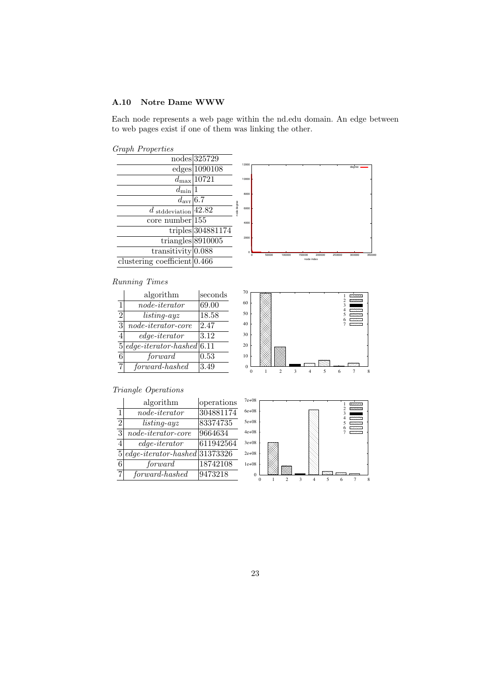#### <span id="page-22-0"></span>A.10 Notre Dame WWW

Each node represents a web page within the nd.edu domain. An edge between to web pages exist if one of them was linking the other.

Graph Properties



| $\mathbf{1}$   | $node\text{-}iterator$                 | 304881174 |
|----------------|----------------------------------------|-----------|
| $\mathfrak{D}$ | $listing-ayz$                          | 83374735  |
| 3              | $node\text{-}iterator\text{-}core$     | 9664634   |
|                | $edge-iterator$                        | 611942564 |
| 5 <sup>1</sup> | $edge-iterator\text{-}hashed 31373326$ |           |
| 6              | forward                                | 18742108  |
|                | forward-hashed                         | 9473218   |

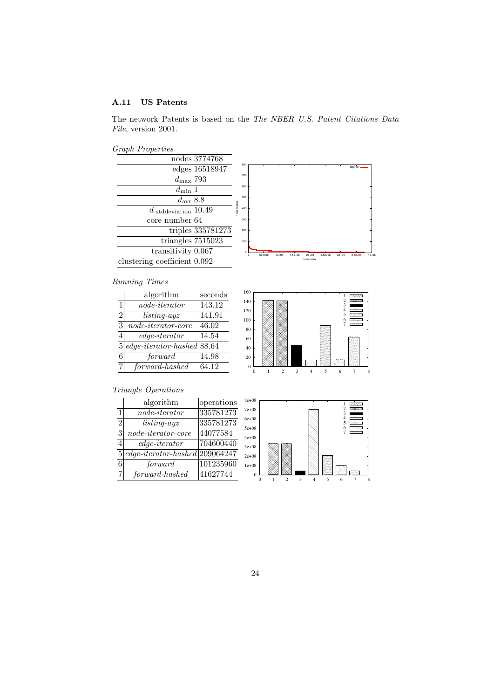#### A.11 US Patents

The network Patents is based on the The NBER U.S. Patent Citations Data File, version 2001.

Graph Properties



### Running Times

|                | algorithm                            | seconds |
|----------------|--------------------------------------|---------|
| $\mathbf{1}$   | $node\text{-}iterator$               | 143.12  |
| $\overline{2}$ | $listing-ayz$                        | 141.91  |
| 3              | $node\text{-}iterator\text{-}core$   | 46.02   |
|                | $edge-iterator$                      | 14.54   |
| 5              | $edge-iterator\text{-}hashed$ [88.64 |         |
| 6              | forward                              | 14.98   |
|                | forward-hashed                       | 64.12   |



|                | algorithm                                 | operations |
|----------------|-------------------------------------------|------------|
| 1              | $node\text{-}iterator$                    | 335781273  |
| 2              | $listing-ayz$                             | 335781273  |
| 3              | $node\text{-}iterator\text{-}core$        | 44077584   |
|                | $edge-iterator$                           | 704600440  |
| 5 <sup>1</sup> | $edge-iterator\text{-}hashed   209064247$ |            |
| 6              | forward                                   | 101235960  |
| 7 <sub>i</sub> | forward-hashed                            | 41627744   |

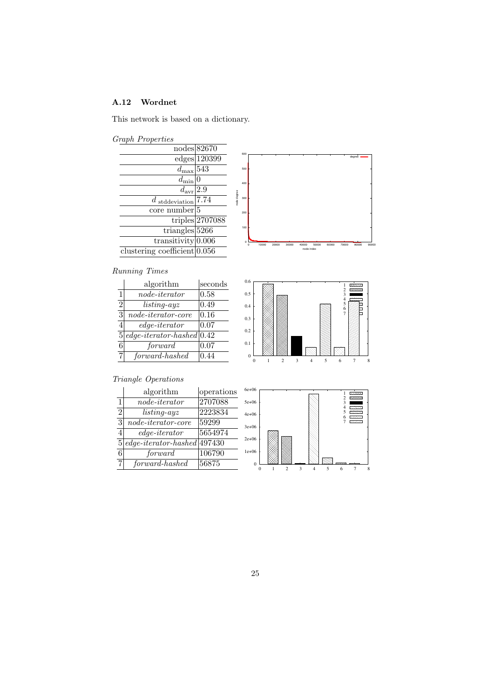### A.12 Wordnet

This network is based on a dictionary.



|                                  | nodes 82670       | 600                |       |       |       |          |
|----------------------------------|-------------------|--------------------|-------|-------|-------|----------|
|                                  | edges 120399      |                    |       |       |       |          |
| $d_{\max}$                       | 543               | 500                |       |       |       |          |
| $a_{\min}$                       |                   | 400                |       |       |       |          |
| $d_{\rm avr}$                    | 2.9               |                    |       |       |       |          |
| $d$ stddeviation 7.74            |                   | hode degree<br>300 |       |       |       |          |
| core number <sup>[5]</sup>       |                   | 200                |       |       |       |          |
|                                  | triples $2707088$ |                    |       |       |       |          |
| triangles $52\overline{66}$      |                   | 100                |       |       |       |          |
| transitivity $0.006$             |                   | o                  | 10000 | 20000 | 30000 | 40000    |
| clustering coefficient $ 0.056 $ |                   |                    |       |       |       | node ind |
|                                  |                   |                    |       |       |       |          |

# Running Times

|                | algorithm                          | seconds |
|----------------|------------------------------------|---------|
| 1              | $node\text{-}iterator$             | 0.58    |
| $\overline{2}$ | $listing-ayz$                      | 0.49    |
| $\overline{3}$ | $node\text{-}iterator\text{-}core$ | 0.16    |
| 4              | $edge-iterator$                    | 0.07    |
| 5              | $edge-iterator\text{-}hashed 0.42$ |         |
| 6              | forward                            | 0.07    |
| $\overline{7}$ | forward-hashed                     | 0.44    |



degre

# Triangle Operations

|                | algorithm                            | operations |
|----------------|--------------------------------------|------------|
| $\mathbf{1}$   | $node\text{-}iterator$               | 2707088    |
| $\overline{2}$ | $listing-ayz$                        | 2223834    |
| 3              | $node\text{-}iterator\text{-}core$   | 59299      |
|                | $edge-iterator$                      | 5654974    |
| 5              | $edge-iterator\text{-}hashed 497430$ |            |
| 6              | forward                              | 106790     |
| 7              | forward-hashed                       | 56875      |



0 1 2 3 4 5 6 7 8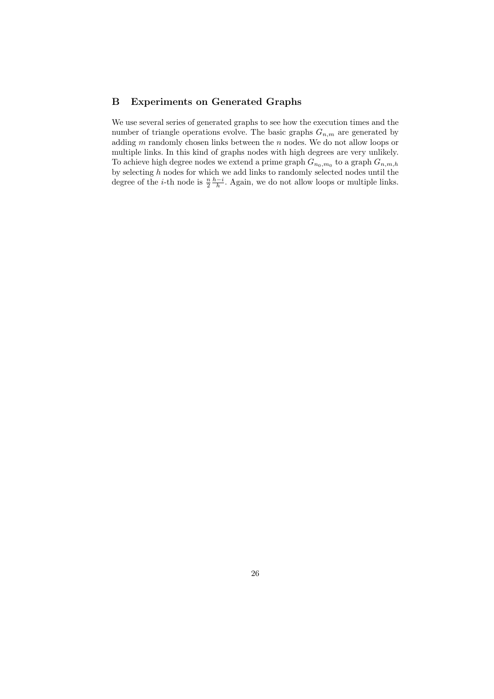### B Experiments on Generated Graphs

We use several series of generated graphs to see how the execution times and the number of triangle operations evolve. The basic graphs  $G_{n,m}$  are generated by adding  $m$  randomly chosen links between the  $n$  nodes. We do not allow loops or multiple links. In this kind of graphs nodes with high degrees are very unlikely. To achieve high degree nodes we extend a prime graph  $G_{n_0,m_0}$  to a graph  $G_{n,m,h}$ by selecting  $h$  nodes for which we add links to randomly selected nodes until the degree of the *i*-th node is  $\frac{n}{2} \frac{h-i}{h}$ . Again, we do not allow loops or multiple links.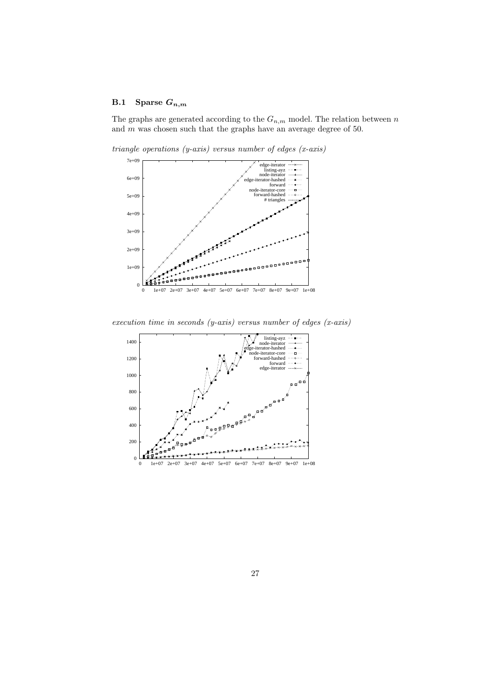### <span id="page-26-0"></span>B.1 Sparse  $G_{n,m}$

The graphs are generated according to the  $G_{n,m}$  model. The relation between n and  $m$  was chosen such that the graphs have an average degree of 50.



triangle operations  $(y-axis)$  versus number of edges  $(x-axis)$ 

execution time in seconds (y-axis) versus number of edges (x-axis)

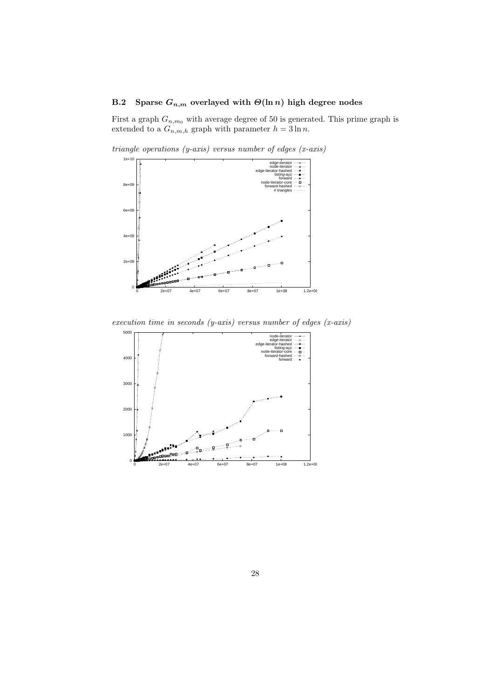### B.2 Sparse  $G_{n,m}$  overlayed with  $\Theta(\ln n)$  high degree nodes

First a graph  $G_{n,m_0}$  with average degree of 50 is generated. This prime graph is extended to a  $G_{n,m,h}$  graph with parameter  $h = 3 \ln n$ .



triangle operations  $(y-axis)$  versus number of edges  $(x-axis)$ 



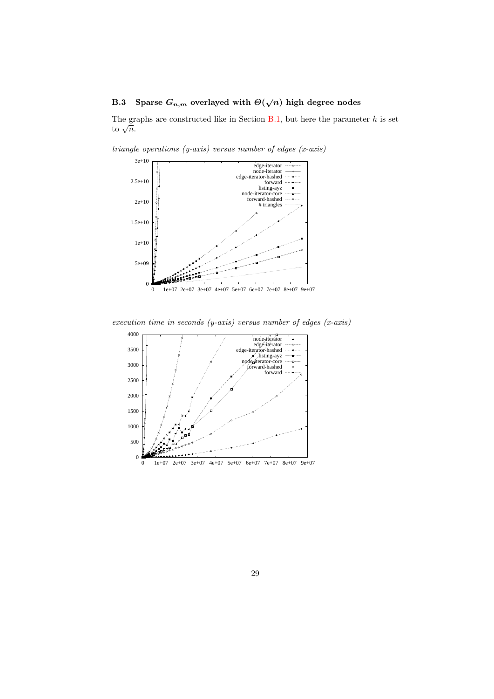# <span id="page-28-0"></span>B.3 Sparse  $G_{n,m}$  overlayed with  $\Theta(\sqrt{n})$  high degree nodes

The graphs are constructed like in Section  $B.1$ , but here the parameter h is set The gradient  $\frac{1}{\sqrt{n}}$ .





execution time in seconds (y-axis) versus number of edges (x-axis)

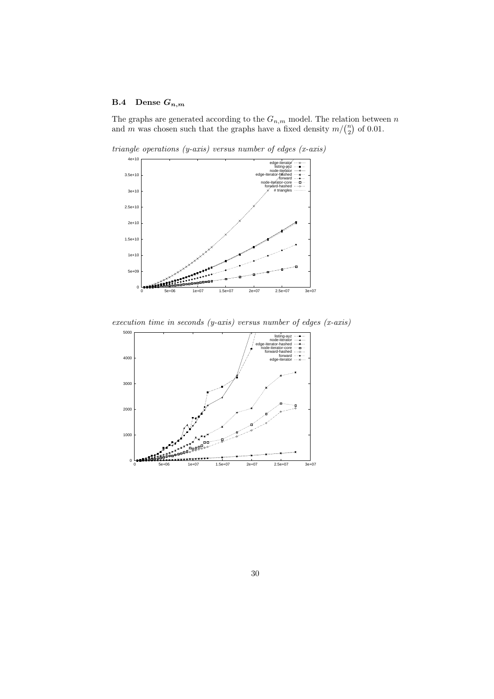## <span id="page-29-0"></span>B.4 Dense  $G_{n,m}$

The graphs are generated according to the  $G_{n,m}$  model. The relation between n and m was chosen such that the graphs have a fixed density  $m/\binom{n}{2}$  of 0.01.



triangle operations  $(y-axis)$  versus number of edges  $(x-axis)$ 

execution time in seconds (y-axis) versus number of edges (x-axis)

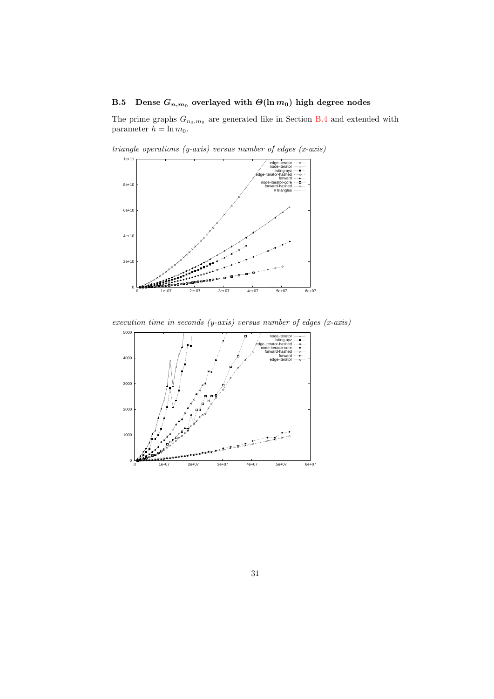# <span id="page-30-0"></span>B.5 Dense  $G_{n,m_0}$  overlayed with  $\Theta(\ln m_0)$  high degree nodes

The prime graphs  $G_{n_0,m_0}$  are generated like in Section [B.4](#page-29-0) and extended with parameter  $h = \ln m_0$ .



triangle operations  $(y-axis)$  versus number of edges  $(x-axis)$ 

execution time in seconds (y-axis) versus number of edges (x-axis)

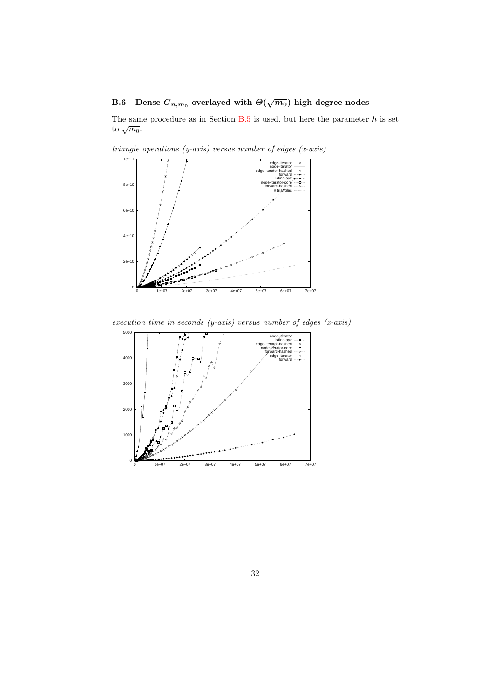# <span id="page-31-0"></span>B.6 Dense  $G_{n,m_0}$  overlayed with  $\Theta(\sqrt{m_0})$  high degree nodes

The same procedure as in Section  $B.5$  is used, but here the parameter  $h$  is set to  $\sqrt{m_0}$ .



triangle operations  $(y-axis)$  versus number of edges  $(x-axis)$ 

execution time in seconds (y-axis) versus number of edges (x-axis)

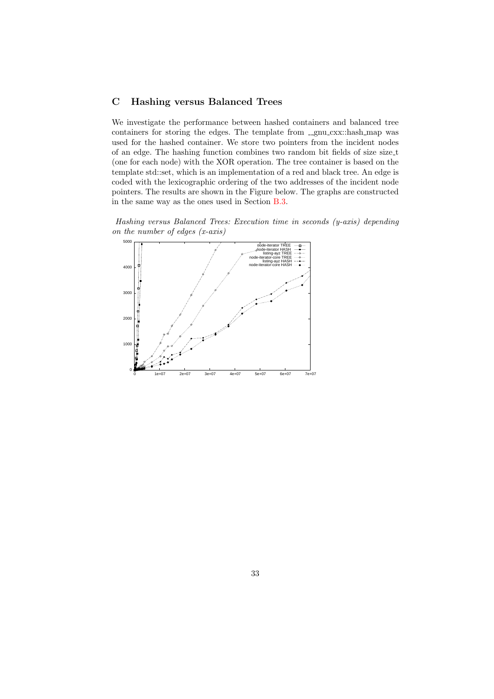### <span id="page-32-0"></span>C Hashing versus Balanced Trees

We investigate the performance between hashed containers and balanced tree containers for storing the edges. The template from  $\Box$ gnu $\Box$ cxx::hash map was used for the hashed container. We store two pointers from the incident nodes of an edge. The hashing function combines two random bit fields of size size t (one for each node) with the XOR operation. The tree container is based on the template std::set, which is an implementation of a red and black tree. An edge is coded with the lexicographic ordering of the two addresses of the incident node pointers. The results are shown in the Figure below. The graphs are constructed in the same way as the ones used in Section [B.3.](#page-28-0)

Hashing versus Balanced Trees: Execution time in seconds (y-axis) depending on the number of edges (x-axis)

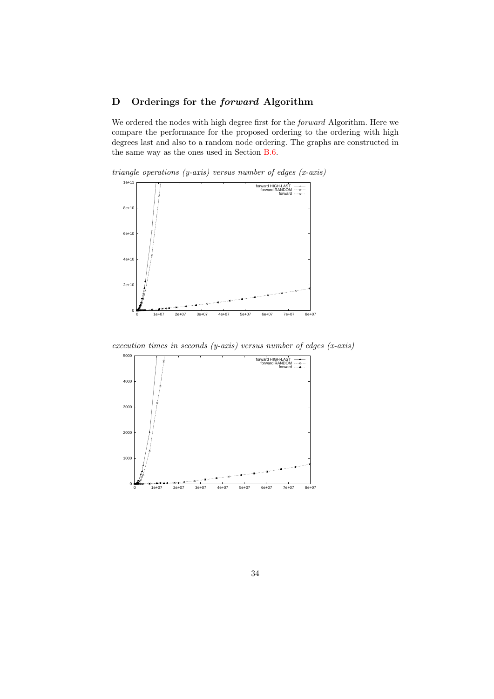### D Orderings for the forward Algorithm

We ordered the nodes with high degree first for the forward Algorithm. Here we compare the performance for the proposed ordering to the ordering with high degrees last and also to a random node ordering. The graphs are constructed in the same way as the ones used in Section [B.6.](#page-31-0)

triangle operations  $(y-axis)$  versus number of edges  $(x-axis)$ 



execution times in seconds (y-axis) versus number of edges  $(x-axis)$